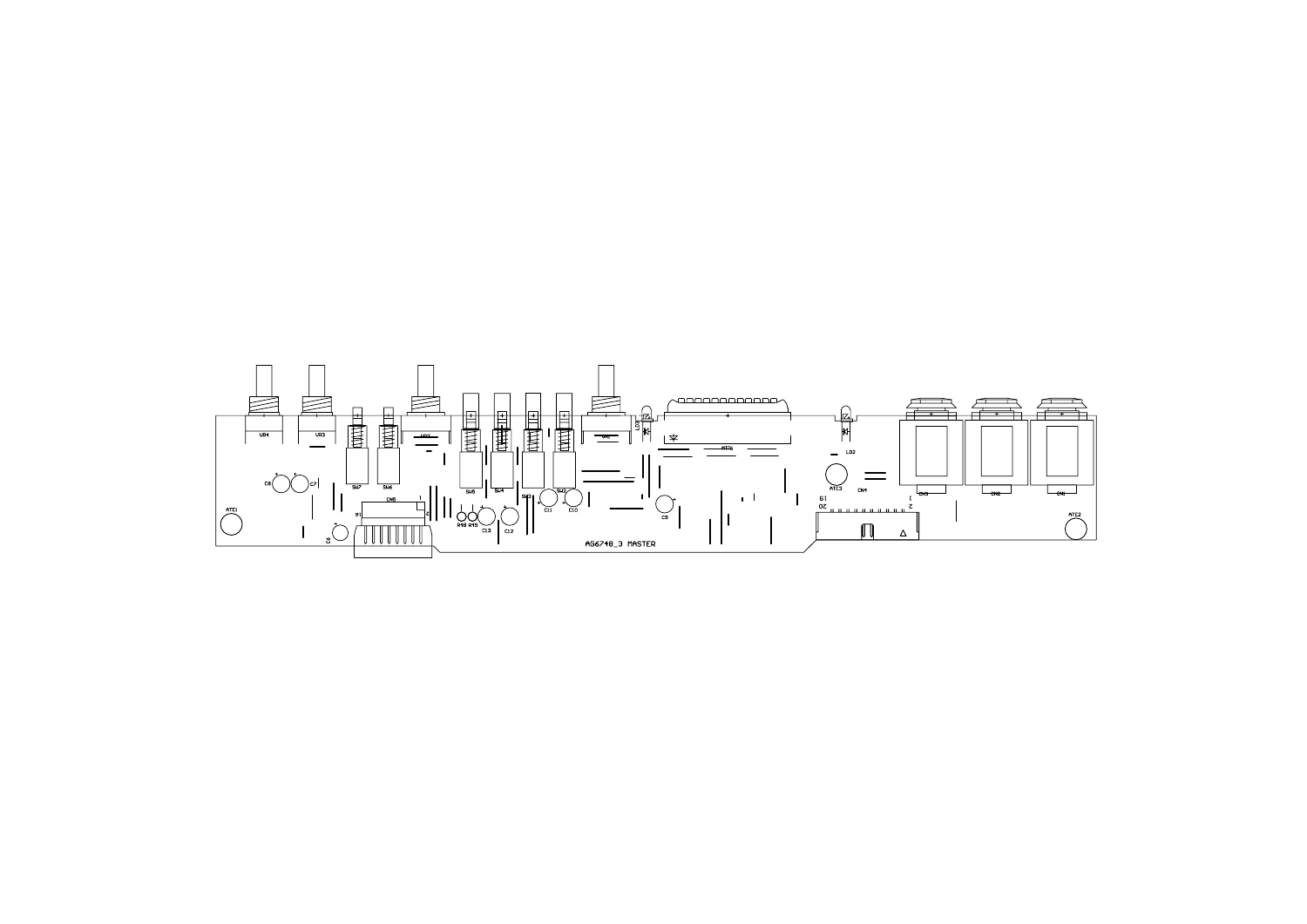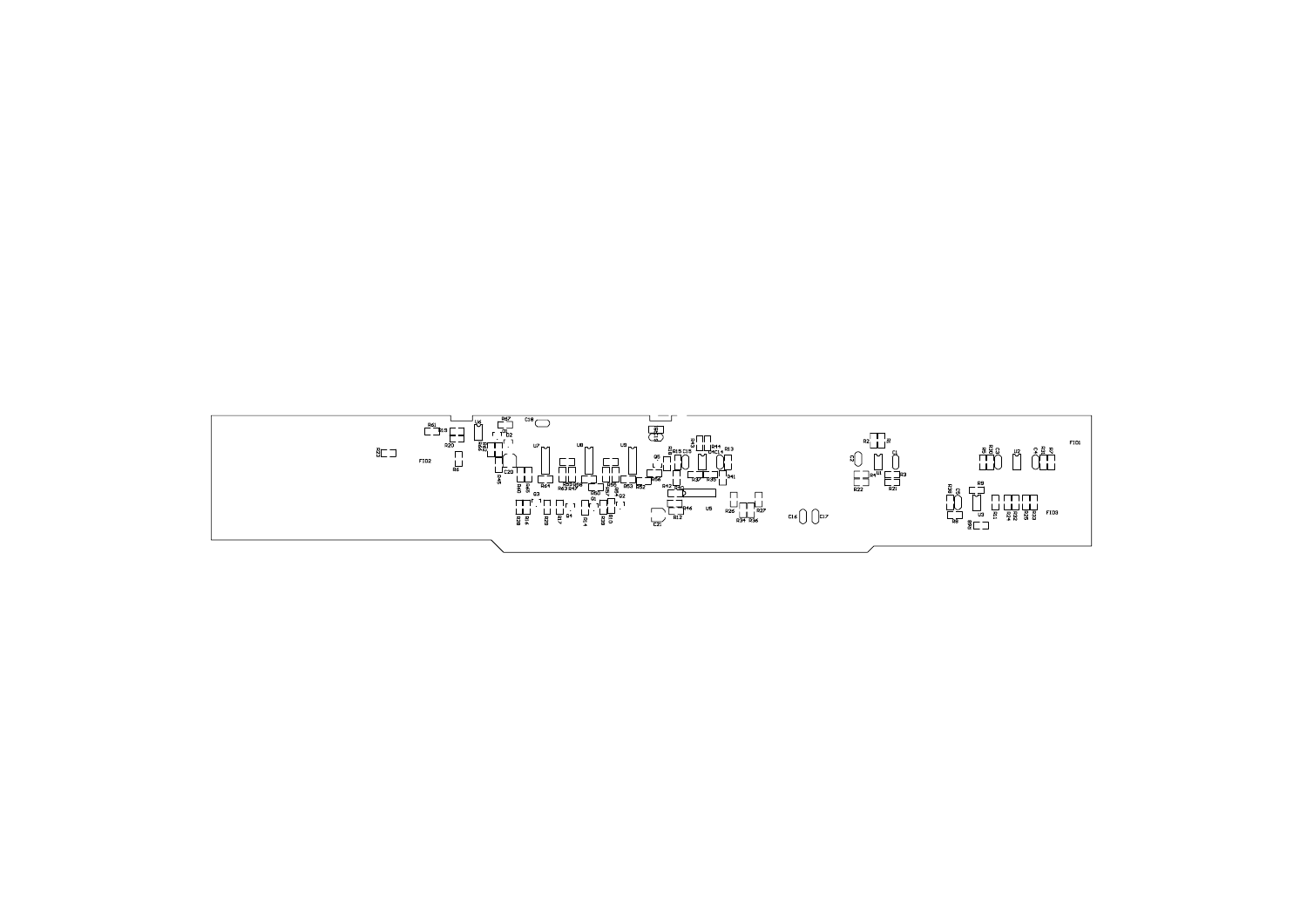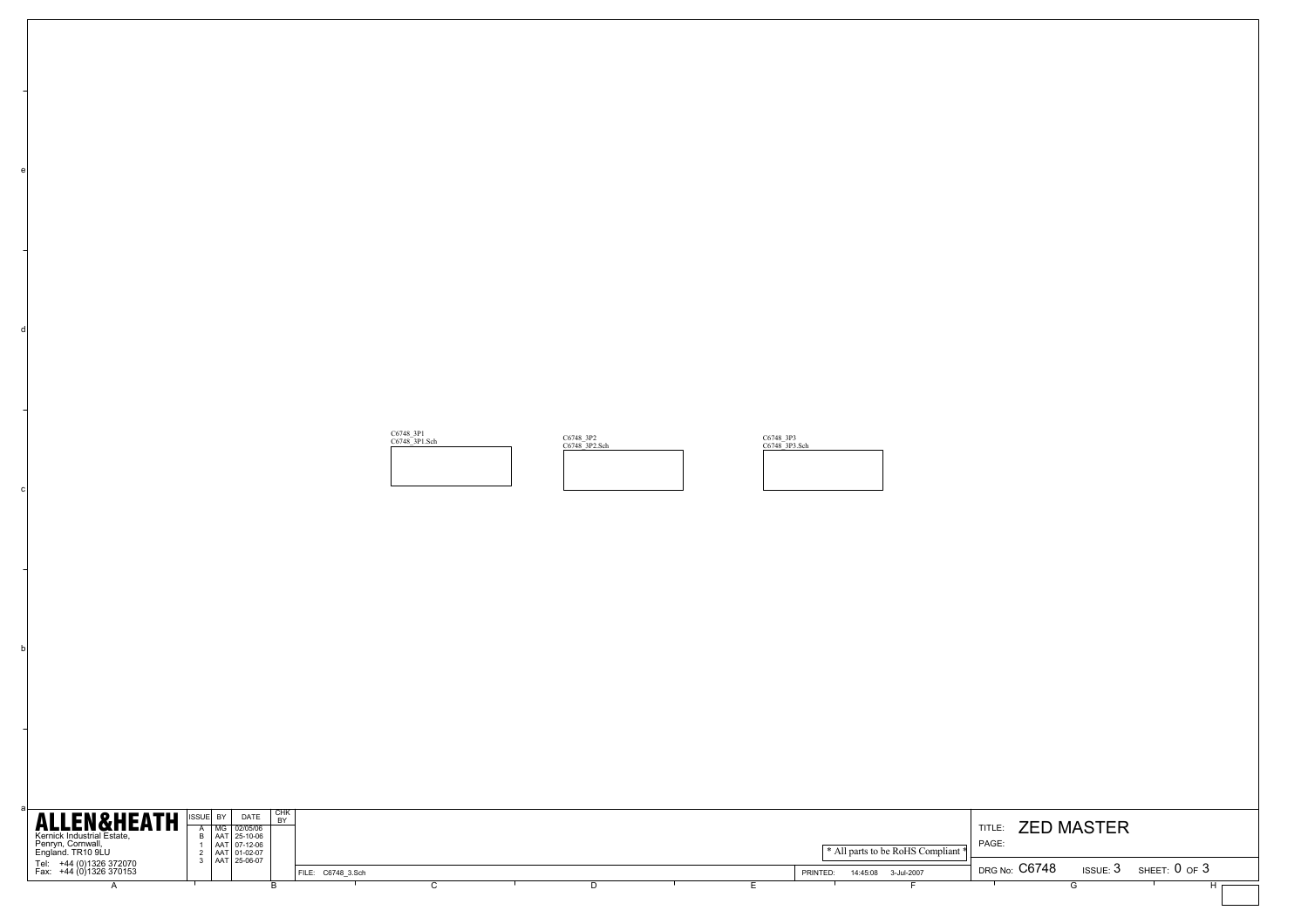| d           |                                                                                                                                                                                                                                                                                                     |                            |                            |                                                                    |                                                                                 |
|-------------|-----------------------------------------------------------------------------------------------------------------------------------------------------------------------------------------------------------------------------------------------------------------------------------------------------|----------------------------|----------------------------|--------------------------------------------------------------------|---------------------------------------------------------------------------------|
| c           |                                                                                                                                                                                                                                                                                                     | C6748_3P1<br>C6748_3P1.Sch | C6748_3P2<br>C6748_3P2.Sch | C6748_3P3<br>C6748_3P3.Sch                                         |                                                                                 |
| $\mathbf b$ |                                                                                                                                                                                                                                                                                                     |                            |                            |                                                                    |                                                                                 |
|             |                                                                                                                                                                                                                                                                                                     |                            |                            |                                                                    |                                                                                 |
| ÷.          | BA<br>CHK<br><b>ALLEN&amp;HEATH</b><br>Kernick Industrial Estate,<br>Penryn, Cornwall,<br>England. TR10 9LU<br>ISSUE BY<br>DATE<br>A MG 02/05/06<br>B AAT 25-10-06<br>1 AAT 07-12-06<br>2 AAT 01-02-07<br>3 AAT 25-06-07<br>Tel: +44 (0)1326 372070<br>Fax: +44 (0)1326 370153<br>FILE: C6748_3.Sch |                            |                            | * All parts to be RoHS Compliant *<br>PRINTED: 14:45:08 3-Jul-2007 | <b>ZED MASTER</b><br>TITLE:<br>PAGE:<br>DRG No: C6748<br>ISSUE: 3 SHEET: 0 OF 3 |
|             | $\overline{A}$<br>$\overline{B}$                                                                                                                                                                                                                                                                    | ᠸ                          | $\overline{\mathsf{D}}$    | Έ<br>F                                                             | G<br>$H_{\Gamma}$                                                               |

e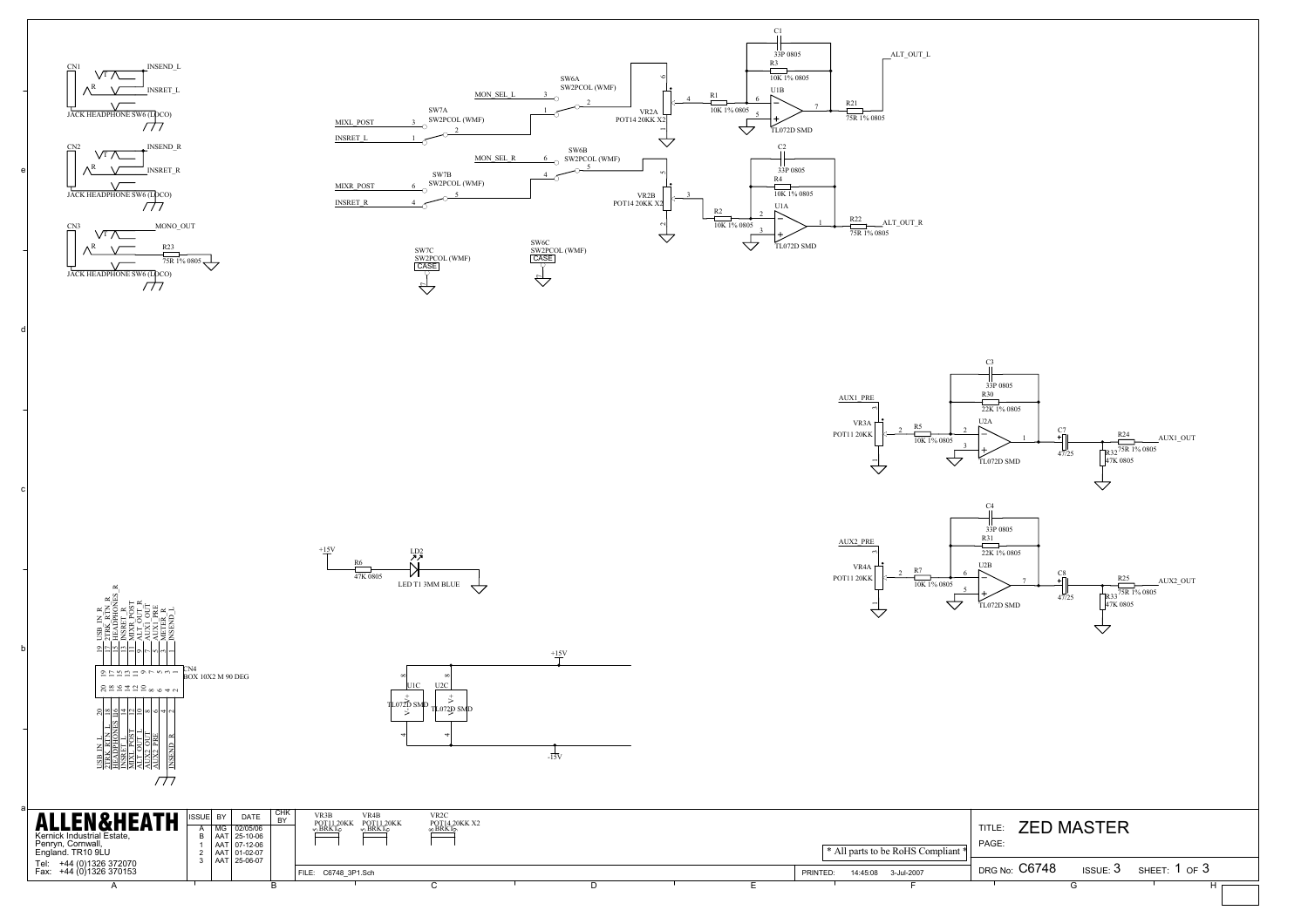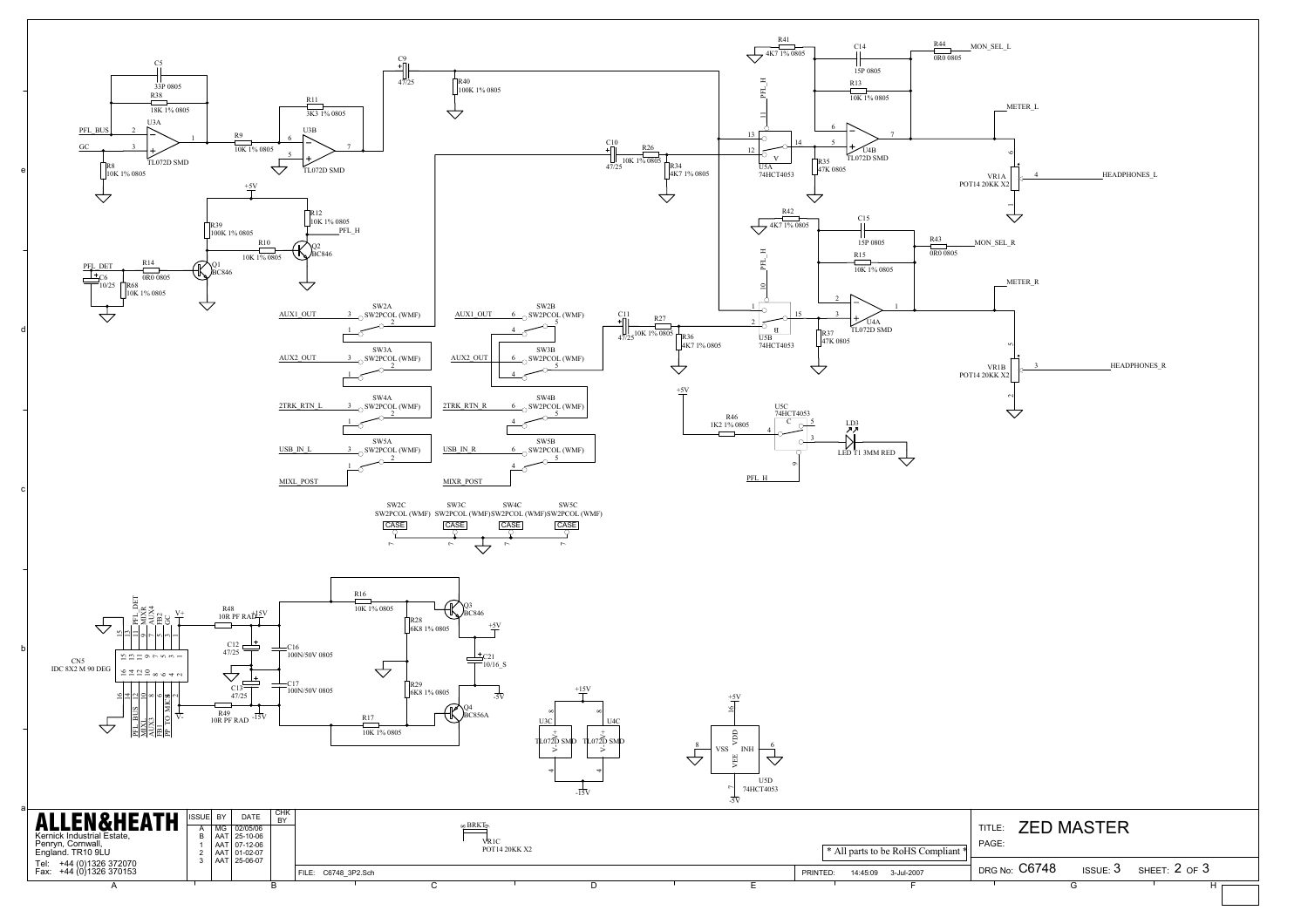